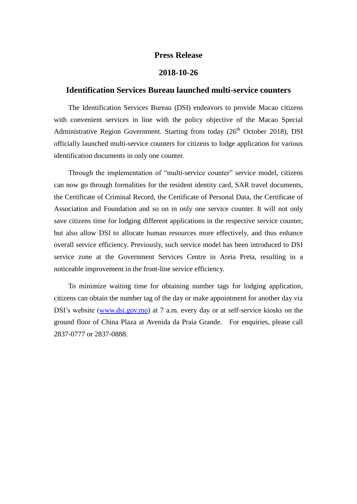## **Press Release**

## **2018-10-26**

## **Identification Services Bureau launched multi-service counters**

The Identification Services Bureau (DSI) endeavors to provide Macao citizens with convenient services in line with the policy objective of the Macao Special Administrative Region Government. Starting from today  $(26<sup>th</sup> October 2018)$ , DSI officially launched multi-service counters for citizens to lodge application for various identification documents in only one counter.

Through the implementation of "multi-service counter" service model, citizens can now go through formalities for the resident identity card, SAR travel documents, the Certificate of Criminal Record, the Certificate of Personal Data, the Certificate of Association and Foundation and so on in only one service counter. It will not only save citizens time for lodging different applications in the respective service counter, but also allow DSI to allocate human resources more effectively, and thus enhance overall service efficiency. Previously, such service model has been introduced to DSI service zone at the Government Services Centre in Areia Preta, resulting in a noticeable improvement in the front-line service efficiency.

To minimize waiting time for obtaining number tags for lodging application, citizens can obtain the number tag of the day or make appointment for another day via DSI's website [\(www.dsi.gov.mo\)](http://www.dsi.gov.mo/) at 7 a.m. every day or at self-service kiosks on the ground floor of China Plaza at Avenida da Praia Grande. For enquiries, please call 2837-0777 or 2837-0888.